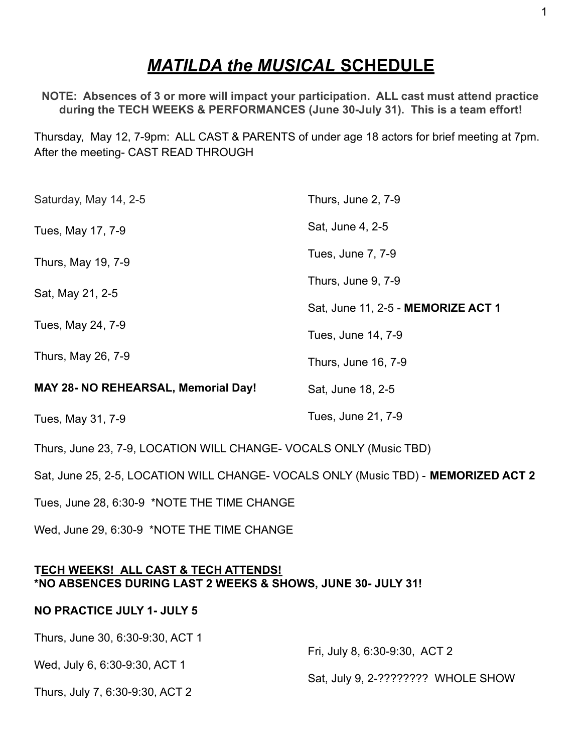# *MATILDA the MUSICAL* **SCHEDULE**

**NOTE: Absences of 3 or more will impact your participation. ALL cast must attend practice during the TECH WEEKS & PERFORMANCES (June 30-July 31). This is a team effort!**

Thursday, May 12, 7-9pm: ALL CAST & PARENTS of under age 18 actors for brief meeting at 7pm. After the meeting- CAST READ THROUGH

| Saturday, May 14, 2-5                                                              | Thurs, June 2, 7-9                 |
|------------------------------------------------------------------------------------|------------------------------------|
| Tues, May 17, 7-9                                                                  | Sat, June 4, 2-5                   |
| Thurs, May 19, 7-9                                                                 | Tues, June 7, 7-9                  |
| Sat, May 21, 2-5                                                                   | Thurs, June 9, 7-9                 |
|                                                                                    | Sat, June 11, 2-5 - MEMORIZE ACT 1 |
| Tues, May 24, 7-9                                                                  | Tues, June 14, 7-9                 |
| Thurs, May 26, 7-9                                                                 | Thurs, June 16, 7-9                |
| <b>MAY 28- NO REHEARSAL, Memorial Day!</b>                                         | Sat, June 18, 2-5                  |
| Tues, May 31, 7-9                                                                  | Tues, June 21, 7-9                 |
| Thurs, June 23, 7-9, LOCATION WILL CHANGE- VOCALS ONLY (Music TBD)                 |                                    |
| Sat, June 25, 2-5, LOCATION WILL CHANGE- VOCALS ONLY (Music TBD) - MEMORIZED ACT 2 |                                    |
| Tues, June 28, 6:30-9 *NOTE THE TIME CHANGE                                        |                                    |

Wed, June 29, 6:30-9 \*NOTE THE TIME CHANGE

## **TECH WEEKS! ALL CAST & TECH ATTENDS! \*NO ABSENCES DURING LAST 2 WEEKS & SHOWS, JUNE 30- JULY 31!**

## **NO PRACTICE JULY 1- JULY 5**

Thurs, June 30, 6:30-9:30, ACT 1 Wed, July 6, 6:30-9:30, ACT 1 Thurs, July 7, 6:30-9:30, ACT 2 Fri, July 8, 6:30-9:30, ACT 2 Sat, July 9, 2-???????? WHOLE SHOW